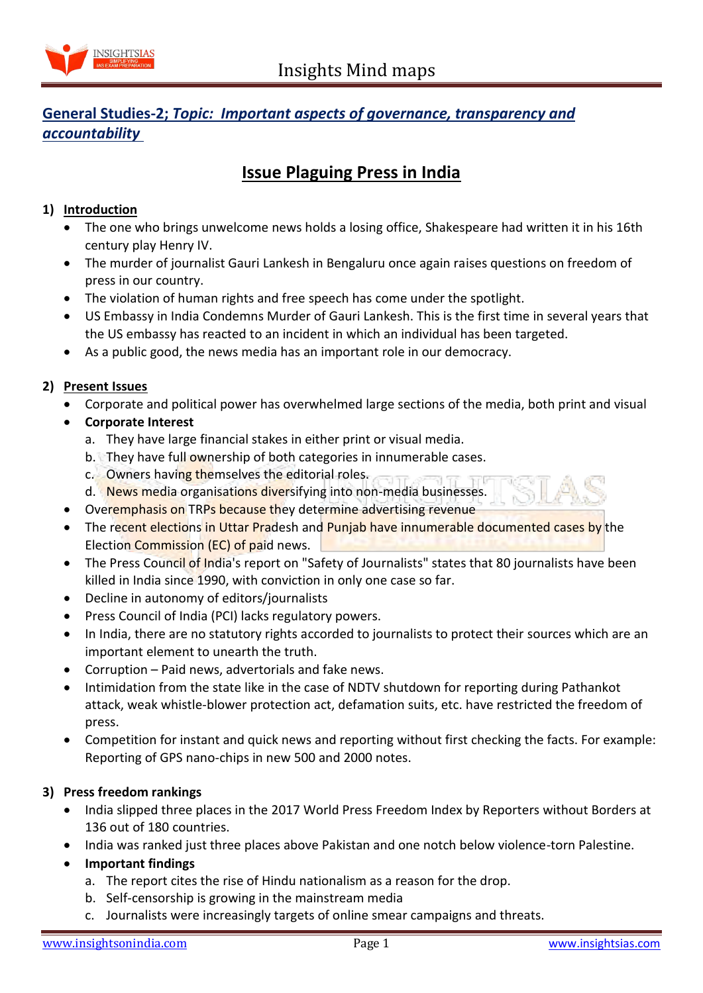

# **General Studies-2;** *Topic: Important aspects of governance, transparency and accountability*

# **Issue Plaguing Press in India**

### **1) Introduction**

- The one who brings unwelcome news holds a losing office, Shakespeare had written it in his 16th century play Henry IV.
- The murder of journalist Gauri Lankesh in Bengaluru once again raises questions on freedom of press in our country.
- The violation of human rights and free speech has come under the spotlight.
- US Embassy in India Condemns Murder of Gauri Lankesh. This is the first time in several years that the US embassy has reacted to an incident in which an individual has been targeted.
- As a public good, the news media has an important role in our democracy.

#### **2) Present Issues**

- Corporate and political power has overwhelmed large sections of the media, both print and visual
- **Corporate Interest**
	- a. They have large financial stakes in either print or visual media.
	- b. They have full ownership of both categories in innumerable cases.
	- c. Owners having themselves the editorial roles.
	- d. News media organisations diversifying into non-media businesses.
- Overemphasis on TRPs because they determine advertising revenue
- The recent elections in Uttar Pradesh and Punjab have innumerable documented cases by the Election Commission (EC) of paid news.
- The Press Council of India's report on "Safety of Journalists" states that 80 journalists have been killed in India since 1990, with conviction in only one case so far.
- Decline in autonomy of editors/journalists
- Press Council of India (PCI) lacks regulatory powers.
- In India, there are no statutory rights accorded to journalists to protect their sources which are an important element to unearth the truth.
- Corruption Paid news, advertorials and fake news.
- Intimidation from the state like in the case of NDTV shutdown for reporting during Pathankot attack, weak whistle-blower protection act, defamation suits, etc. have restricted the freedom of press.
- Competition for instant and quick news and reporting without first checking the facts. For example: Reporting of GPS nano-chips in new 500 and 2000 notes.

## **3) Press freedom rankings**

- India slipped three places in the 2017 World Press Freedom Index by Reporters without Borders at 136 out of 180 countries.
- India was ranked just three places above Pakistan and one notch below violence-torn Palestine.
- **Important findings**
	- a. The report cites the rise of Hindu nationalism as a reason for the drop.
	- b. Self-censorship is growing in the mainstream media
	- c. Journalists were increasingly targets of online smear campaigns and threats.